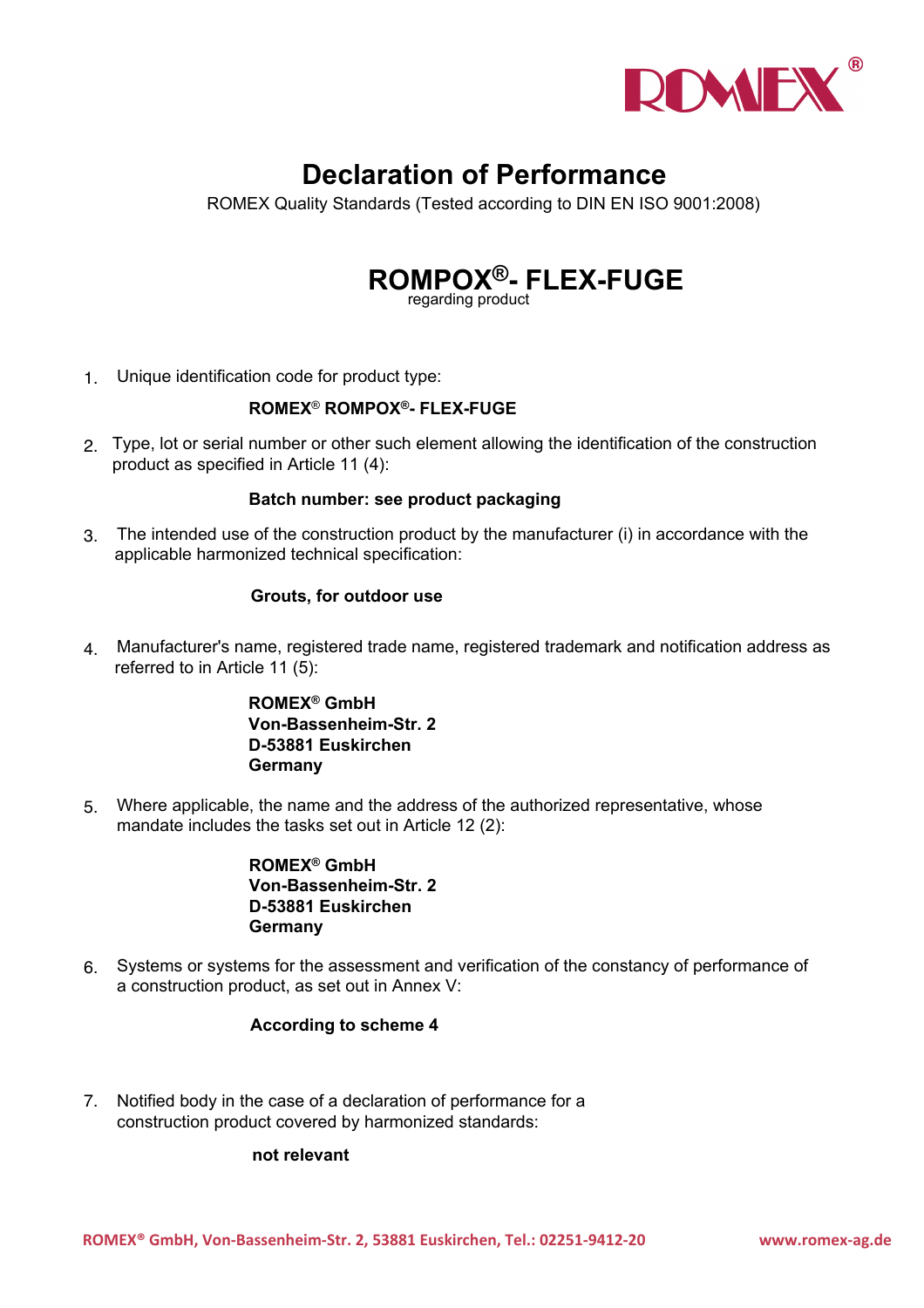

# **Declaration of Performance**

ROMEX Quality Standards (Tested according to DIN EN ISO 9001:2008)

# **ROMPOX®- FLEX-FUGE** regarding product

1. Unique identification code for product type:

## **ROMEX**® **ROMPOX®- FLEX-FUGE**

2. Type, lot or serial number or other such element allowing the identification of the construction product as specified in Article 11 (4):

#### **Batch number: see product packaging**

3. The intended use of the construction product by the manufacturer (i) in accordance with the applicable harmonized technical specification:

#### **Grouts, for outdoor use**

4. Manufacturer's name, registered trade name, registered trademark and notification address as referred to in Article 11 (5):

> **ROMEX® GmbH Von-Bassenheim-Str. 2 D-53881 Euskirchen Germany**

5. Where applicable, the name and the address of the authorized representative, whose mandate includes the tasks set out in Article 12 (2):

> **ROMEX® GmbH Von-Bassenheim-Str. 2 D-53881 Euskirchen Germany**

6. Systems or systems for the assessment and verification of the constancy of performance of a construction product, as set out in Annex V:

## **According to scheme 4**

7. Notified body in the case of a declaration of performance for a construction product covered by harmonized standards:

#### **not relevant**